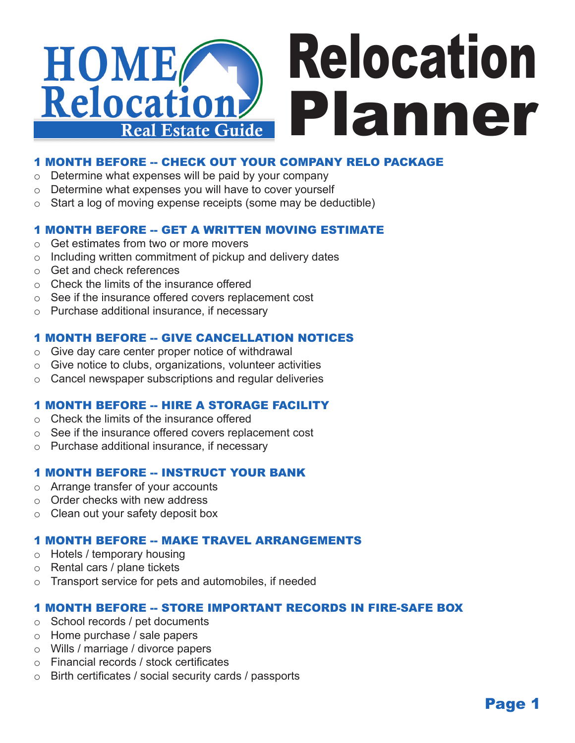

# 1 MONTH BEFORE -- CHECK OUT YOUR COMPANY RELO PACKAGE

- $\circ$  Determine what expenses will be paid by your company
- $\circ$  Determine what expenses you will have to cover yourself
- $\circ$  Start a log of moving expense receipts (some may be deductible)

### 1 MONTH BEFORE -- GET A WRITTEN MOVING ESTIMATE

- o Get estimates from two or more movers
- $\circ$  Including written commitment of pickup and delivery dates
- o Get and check references
- o Check the limits of the insurance offered
- o See if the insurance offered covers replacement cost
- o Purchase additional insurance, if necessary

### 1 MONTH BEFORE -- GIVE CANCELLATION NOTICES

- $\circ$  Give day care center proper notice of withdrawal
- $\circ$  Give notice to clubs, organizations, volunteer activities
- $\circ$  Cancel newspaper subscriptions and regular deliveries

## 1 MONTH BEFORE -- HIRE A STORAGE FACILITY

- o Check the limits of the insurance offered
- See if the insurance offered covers replacement cost
- o Purchase additional insurance, if necessary

## 1 MONTH BEFORE -- INSTRUCT YOUR BANK

- o Arrange transfer of your accounts
- o Order checks with new address
- o Clean out your safety deposit box

### 1 MONTH BEFORE -- MAKE TRAVEL ARRANGEMENTS

- o Hotels / temporary housing
- o Rental cars / plane tickets
- Transport service for pets and automobiles, if needed

### 1 MONTH BEFORE -- STORE IMPORTANT RECORDS IN FIRE-SAFE BOX

- o School records / pet documents
- o Home purchase / sale papers
- o Wills / marriage / divorce papers
- o Financial records / stock certificates
- o Birth certificates / social security cards / passports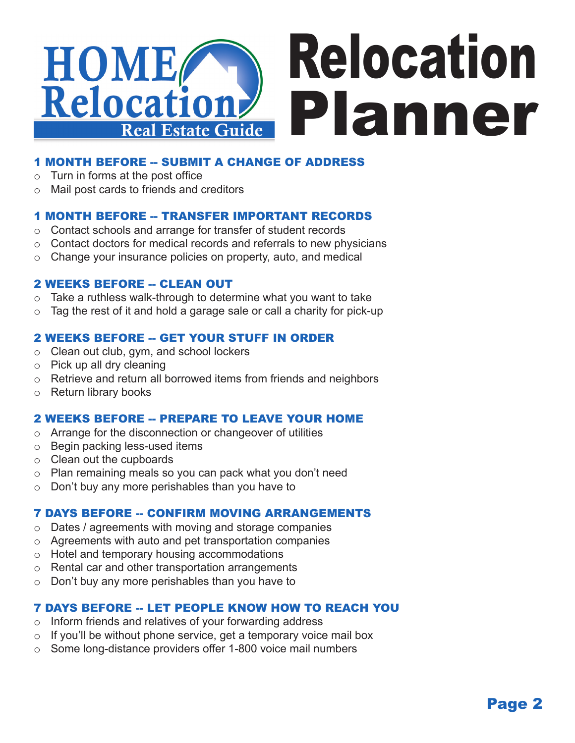

# 1 MONTH BEFORE -- SUBMIT A CHANGE OF ADDRESS

- $\circ$  Turn in forms at the post office
- o Mail post cards to friends and creditors

## 1 MONTH BEFORE -- TRANSFER IMPORTANT RECORDS

- o Contact schools and arrange for transfer of student records
- $\circ$  Contact doctors for medical records and referrals to new physicians
- $\circ$  Change your insurance policies on property, auto, and medical

## 2 WEEKS BEFORE -- CLEAN OUT

- $\circ$  Take a ruthless walk-through to determine what you want to take
- $\circ$  Tag the rest of it and hold a garage sale or call a charity for pick-up

## 2 WEEKS BEFORE -- GET YOUR STUFF IN ORDER

- o Clean out club, gym, and school lockers
- $\circ$  Pick up all dry cleaning
- $\circ$  Retrieve and return all borrowed items from friends and neighbors
- o Return library books

## 2 WEEKS BEFORE -- PREPARE TO LEAVE YOUR HOME

- o Arrange for the disconnection or changeover of utilities
- o Begin packing less-used items
- $\circ$  Clean out the cupboards
- $\circ$  Plan remaining meals so you can pack what you don't need
- $\circ$  Don't buy any more perishables than you have to

## **7 DAYS BEFORE -- CONFIRM MOVING ARRANGEMENTS**

- o Dates / agreements with moving and storage companies
- $\circ$  Agreements with auto and pet transportation companies
- o Hotel and temporary housing accommodations
- o Rental car and other transportation arrangements
- Don't buy any more perishables than you have to

# 7 DAYS BEFORE -- LET PEOPLE KNOW HOW TO REACH YOU

- $\circ$  Inform friends and relatives of your forwarding address
- $\circ$  If you'll be without phone service, get a temporary voice mail box
- $\circ$  Some long-distance providers offer 1-800 voice mail numbers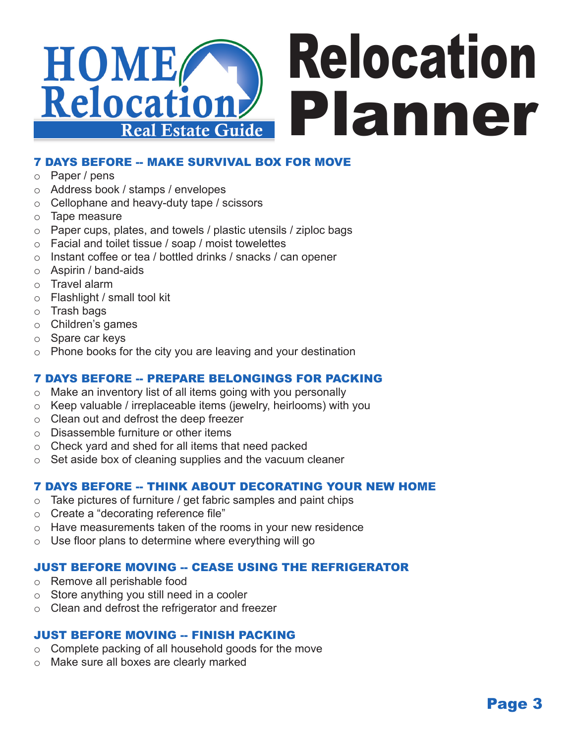

# **7 DAYS BEFORE -- MAKE SURVIVAL BOX FOR MOVE**

- o Paper / pens
- o Address book / stamps / envelopes
- $\circ$  Cellophane and heavy-duty tape / scissors
- o Tape measure
- o Paper cups, plates, and towels / plastic utensils / ziploc bags
- o Facial and toilet tissue / soap / moist towelettes
- o Instant coffee or tea / bottled drinks / snacks / can opener
- o Aspirin / band-aids
- o Travel alarm
- o Flashlight / small tool kit
- o Trash bags
- o Children's games
- o Spare car keys
- $\circ$  Phone books for the city you are leaving and your destination

## 7 DAYS BEFORE -- PREPARE BELONGINGS FOR PACKING

- $\circ$  Make an inventory list of all items going with you personally
- $\circ$  Keep valuable / irreplaceable items (jewelry, heirlooms) with you
- o Clean out and defrost the deep freezer
- o Disassemble furniture or other items
- $\circ$  Check yard and shed for all items that need packed
- $\circ$  Set aside box of cleaning supplies and the vacuum cleaner

## 7 DAYS BEFORE -- THINK ABOUT DECORATING YOUR NEW HOME

- $\circ$  Take pictures of furniture / get fabric samples and paint chips
- o Create a "decorating reference file"
- o Have measurements taken of the rooms in your new residence
- $\circ$  Use floor plans to determine where everything will go

## **JUST BEFORE MOVING -- CEASE USING THE REFRIGERATOR**

- Remove all perishable food
- o Store anything you still need in a cooler
- $\circ$  Clean and defrost the refrigerator and freezer

## JUST BEFORE MOVING -- FINISH PACKING

- $\circ$  Complete packing of all household goods for the move
- Make sure all boxes are clearly marked